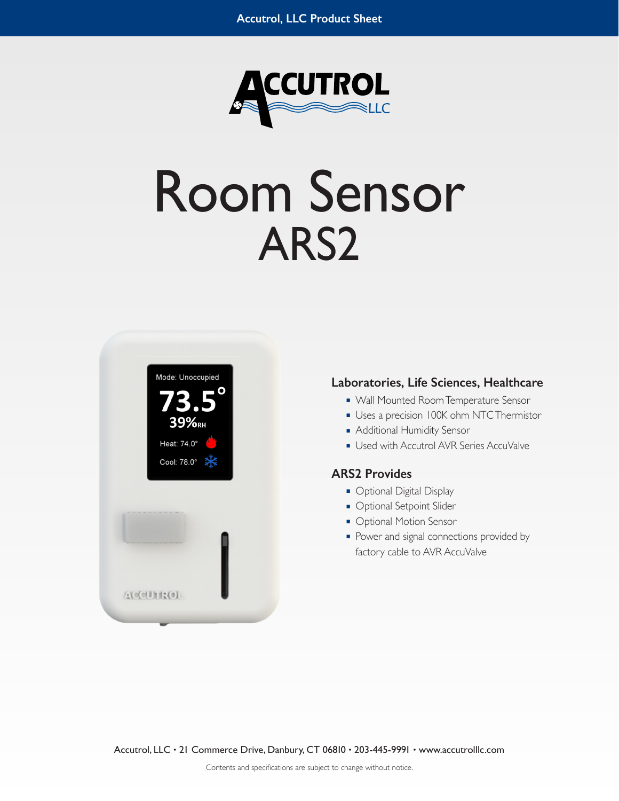

# Room Sensor ARS2



#### **Laboratories, Life Sciences, Healthcare**

- Wall Mounted Room Temperature Sensor
- Uses a precision 100K ohm NTC Thermistor
- Additional Humidity Sensor
- Used with Accutrol AVR Series AccuValve

#### **ARS2 Provides**

- Optional Digital Display
- Optional Setpoint Slider
- Optional Motion Sensor
- Power and signal connections provided by factory cable to AVR AccuValve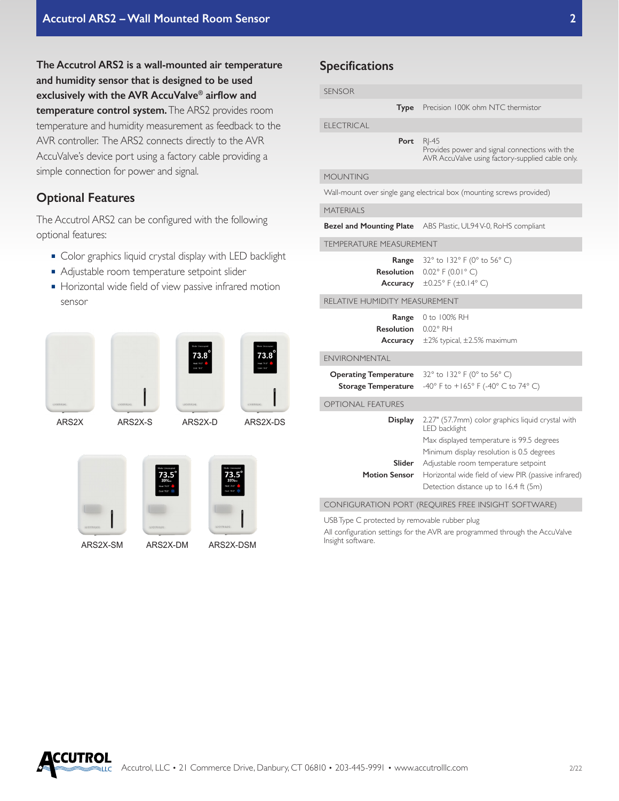**The Accutrol ARS2 is a wall-mounted air temperature and humidity sensor that is designed to be used exclusively with the AVR AccuValve® airflow and temperature control system.** The ARS2 provides room temperature and humidity measurement as feedback to the AVR controller. The ARS2 connects directly to the AVR AccuValve's device port using a factory cable providing a simple connection for power and signal.

## **Optional Features**

The Accutrol ARS2 can be configured with the following optional features:

- Color graphics liquid crystal display with LED backlight
- Adjustable room temperature setpoint slider
- Horizontal wide field of view passive infrared motion sensor









# **Specifications**

| <b>SENSOR</b>                                                         |                                                                                                                                                                                                                                                                                                       |
|-----------------------------------------------------------------------|-------------------------------------------------------------------------------------------------------------------------------------------------------------------------------------------------------------------------------------------------------------------------------------------------------|
|                                                                       | Type Precision 100K ohm NTC thermistor                                                                                                                                                                                                                                                                |
| <b>ELECTRICAL</b>                                                     |                                                                                                                                                                                                                                                                                                       |
| Port                                                                  | $RI - 45$<br>Provides power and signal connections with the<br>AVR AccuValve using factory-supplied cable only.                                                                                                                                                                                       |
| <b>MOUNTING</b>                                                       |                                                                                                                                                                                                                                                                                                       |
| Wall-mount over single gang electrical box (mounting screws provided) |                                                                                                                                                                                                                                                                                                       |
| <b>MATERIALS</b>                                                      |                                                                                                                                                                                                                                                                                                       |
| Bezel and Mounting Plate                                              | ABS Plastic, UL94 V-0, RoHS compliant                                                                                                                                                                                                                                                                 |
| TEMPERATURE MEASUREMENT                                               |                                                                                                                                                                                                                                                                                                       |
| Range<br><b>Resolution</b><br>Accuracy                                | 32° to 132° F (0° to 56° C)<br>$0.02^{\circ}$ F (0.01° C)<br>$\pm 0.25$ °F ( $\pm 0.14$ °C)                                                                                                                                                                                                           |
| RELATIVE HUMIDITY MEASUREMENT                                         |                                                                                                                                                                                                                                                                                                       |
| Range<br><b>Resolution</b><br>Accuracy                                | 0 to 100% RH<br>0.02° RH<br>±2% typical, ±2.5% maximum                                                                                                                                                                                                                                                |
| <b>ENVIRONMENTAL</b>                                                  |                                                                                                                                                                                                                                                                                                       |
| <b>Operating Temperature</b><br><b>Storage Temperature</b>            | 32° to 132° F (0° to 56° C)<br>-40° F to +165° F (-40° C to 74° C)                                                                                                                                                                                                                                    |
| <b>OPTIONAL FEATURES</b>                                              |                                                                                                                                                                                                                                                                                                       |
| Display<br>Slider<br><b>Motion Sensor</b>                             | 2.27" (57.7mm) color graphics liquid crystal with<br>LED backlight<br>Max displayed temperature is 99.5 degrees<br>Minimum display resolution is 0.5 degrees<br>Adjustable room temperature setpoint<br>Horizontal wide field of view PIR (passive infrared)<br>Detection distance up to 16.4 ft (5m) |
| CONFIGURATION PORT (REQUIRES FREE INSIGHT SOFTWARE)                   |                                                                                                                                                                                                                                                                                                       |
| USB Type C protected by removable rubber plug                         |                                                                                                                                                                                                                                                                                                       |

All configuration settings for the AVR are programmed through the AccuValve